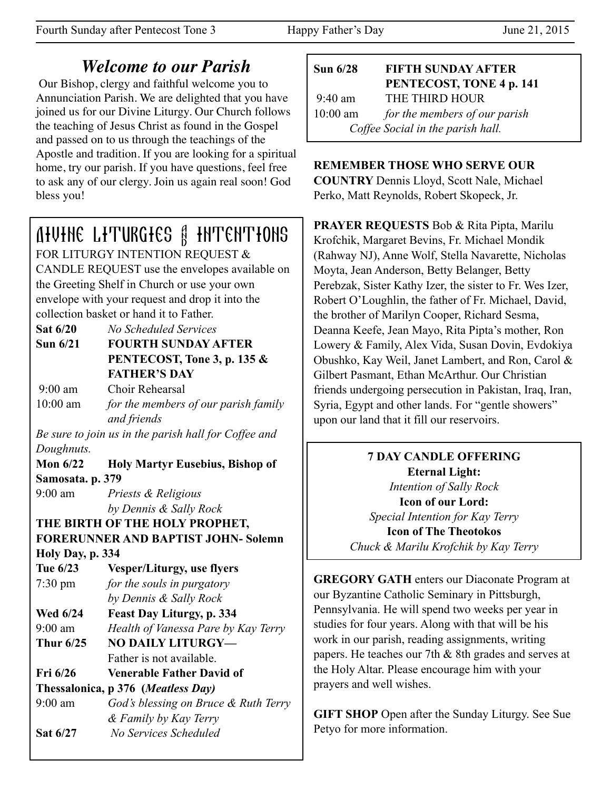## *Welcome to our Parish*

 Our Bishop, clergy and faithful welcome you to Annunciation Parish. We are delighted that you have joined us for our Divine Liturgy. Our Church follows the teaching of Jesus Christ as found in the Gospel and passed on to us through the teachings of the Apostle and tradition. If you are looking for a spiritual home, try our parish. If you have questions, feel free to ask any of our clergy. Join us again real soon! God bless you!

# Divine Liturgies & Intentions

FOR LITURGY INTENTION REQUEST & CANDLE REQUEST use the envelopes available on the Greeting Shelf in Church or use your own envelope with your request and drop it into the collection basket or hand it to Father.

**Sat 6/20** *No Scheduled Services*

**Sun 6/21 FOURTH SUNDAY AFTER PENTECOST, Tone 3, p. 135 & FATHER'S DAY** 

 9:00 am Choir Rehearsal 10:00 am *for the members of our parish family and friends* 

*Be sure to join us in the parish hall for Coffee and Doughnuts.* 

**Mon 6/22 Holy Martyr Eusebius, Bishop of Samosata. p. 379**

9:00 am *Priests & Religious by Dennis & Sally Rock*

**THE BIRTH OF THE HOLY PROPHET, FORERUNNER AND BAPTIST JOHN- Solemn** 

**Holy Day, p. 334**

**Tue 6/23 Vesper/Liturgy, use flyers** 7:30 pm *for the souls in purgatory by Dennis & Sally Rock* **Wed 6/24 Feast Day Liturgy, p. 334**

9:00 am *Health of Vanessa Pare by Kay Terry* **Thur 6/25 NO DAILY LITURGY—**

- Father is not available.
- **Fri 6/26 Venerable Father David of**

**Thessalonica, p 376 (***Meatless Day)*

9:00 am *God's blessing on Bruce & Ruth Terry & Family by Kay Terry*  **Sat 6/27** *No Services Scheduled* 

| Sun $6/28$                        | <b>FIFTH SUNDAY AFTER</b>     |  |
|-----------------------------------|-------------------------------|--|
|                                   | PENTECOST, TONE 4 p. 141      |  |
| $9:40$ am                         | THE THIRD HOUR                |  |
| $10:00$ am                        | for the members of our parish |  |
| Coffee Social in the parish hall. |                               |  |

## **REMEMBER THOSE WHO SERVE OUR**

**COUNTRY** Dennis Lloyd, Scott Nale, Michael Perko, Matt Reynolds, Robert Skopeck, Jr.

**PRAYER REQUESTS** Bob & Rita Pipta, Marilu Krofchik, Margaret Bevins, Fr. Michael Mondik (Rahway NJ), Anne Wolf, Stella Navarette, Nicholas Moyta, Jean Anderson, Betty Belanger, Betty Perebzak, Sister Kathy Izer, the sister to Fr. Wes Izer, Robert O'Loughlin, the father of Fr. Michael, David, the brother of Marilyn Cooper, Richard Sesma, Deanna Keefe, Jean Mayo, Rita Pipta's mother, Ron Lowery & Family, Alex Vida, Susan Dovin, Evdokiya Obushko, Kay Weil, Janet Lambert, and Ron, Carol & Gilbert Pasmant, Ethan McArthur. Our Christian friends undergoing persecution in Pakistan, Iraq, Iran, Syria, Egypt and other lands. For "gentle showers" upon our land that it fill our reservoirs.

> **7 DAY CANDLE OFFERING Eternal Light:**  *Intention of Sally Rock*  **Icon of our Lord:**  *Special Intention for Kay Terry*  **Icon of The Theotokos**  *Chuck & Marilu Krofchik by Kay Terry*

**GREGORY GATH** enters our Diaconate Program at our Byzantine Catholic Seminary in Pittsburgh, Pennsylvania. He will spend two weeks per year in studies for four years. Along with that will be his work in our parish, reading assignments, writing papers. He teaches our 7th & 8th grades and serves at the Holy Altar. Please encourage him with your prayers and well wishes.

**GIFT SHOP** Open after the Sunday Liturgy. See Sue Petyo for more information.